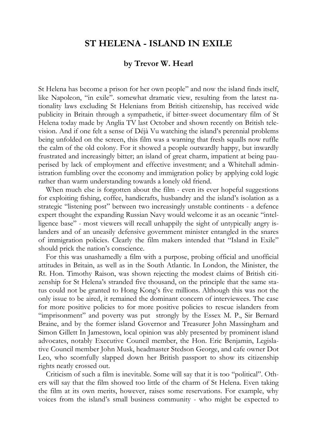## **ST HELENA - ISLAND IN EXILE**

## **by Trevor W. Hearl**

St Helena has become a prison for her own people" and now the island finds itself, like Napoleon, "in exile". somewhat dramatic view, resulting from the latest nationality laws excluding St Helenians from British citizenship, has received wide publicity in Britain through a sympathetic, if bitter-sweet documentary film of St Helena today made by Anglia TV last October and shown recently on British television. And if one felt a sense of Déjà Vu watching the island's perennial problems being unfolded on the screen, this film was a warning that fresh squalls now ruffle the calm of the old colony. For it showed a people outwardly happy, but inwardly frustrated and increasingly bitter; an island of great charm, impatient at being pauperised by lack of employment and effective investment; and a Whitehall administration fumbling over the economy and immigration policy by applying cold logic rather than warm understanding towards a lonely old friend.

When much else is forgotten about the film - even its ever hopeful suggestions for exploiting fishing, coffee, handicrafts, husbandry and the island's isolation as a strategic "listening post" between two increasingly unstable continents - a defence expert thought the expanding Russian Navy would welcome it as an oceanic "intelligence base" - most viewers will recall unhappily the sight of untypically angry islanders and of an uneasily defensive government minister entangled in the snares of immigration policies. Clearly the film makers intended that "Island in Exile" should prick the nation's conscience.

For this was unashamedly a film with a purpose, probing official and unofficial attitudes in Britain, as well as in the South Atlantic. In London, the Minister, the Rt. Hon. Timothy Raison, was shown rejecting the modest claims of British citizenship for St Helena's stranded five thousand, on the principle that the same status could not be granted to Hong Kong's five millions. Although this was not the only issue to be aired, it remained the dominant concern of interviewees. The case for more positive policies to for more positive policies to rescue islanders from "imprisonment" and poverty was put strongly by the Essex M. P., Sir Bernard Braine, and by the former island Governor and Treasurer John Massingham and Simon Gillett In Jamestown, local opinion was ably presented by prominent island advocates, notably Executive Council member, the Hon. Eric Benjamin, Legislative Council member John Musk, headmaster Stedson George, and cafe owner Dot Leo, who scornfully slapped down her British passport to show its citizenship rights neatly crossed out.

Criticism of such a film is inevitable. Some will say that it is too "political". Others will say that the film showed too little of the charm of St Helena. Even taking the film at its own merits, however, raises some reservations. For example, why voices from the island's small business community - who might be expected to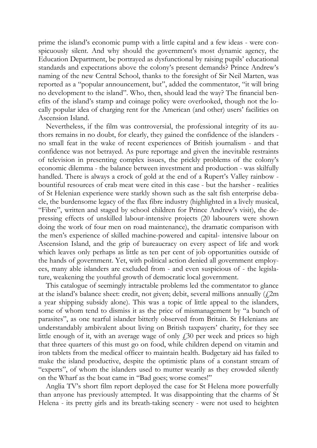prime the island's economic pump with a little capital and a few ideas - were conspicuously silent. And why should the government's most dynamic agency, the Education Department, be portrayed as dysfunctional by raising pupils' educational standards and expectations above the colony's present demands? Prince Andrew's naming of the new Central School, thanks to the foresight of Sir Neil Marten, was reported as a "popular announcement, but", added the commentator, "it will bring no development to the island". Who, then, should lead the way? The financial benefits of the island's stamp and coinage policy were overlooked, though not the locally popular idea of charging rent for the American (and other) users' facilities on Ascension Island.

Nevertheless, if the film was controversial, the professional integrity of its authors remains in no doubt, for clearly, they gained the confidence of the islanders no small feat in the wake of recent experiences of British journalism - and that confidence was not betrayed. As pure reportage and given the inevitable restraints of television in presenting complex issues, the prickly problems of the colony's economic dilemma - the balance between investment and production - was skilfully handled. There is always a crock of gold at the end of a Rupert's Valley rainbow bountiful resources of crab meat were cited in this case - but the harsher - realities of St Helenian experience were starkly shown such as the salt fish enterprise debacle, the burdensome legacy of the flax fibre industry (highlighted in a lively musical, "Fibre", written and staged by school children for Prince Andrew's visit), the depressing effects of unskilled labour-intensive projects (20 labourers were shown doing the work of four men on road maintenance), the dramatic comparison with the men's experience of skilled machine-powered and capital- intensive labour on Ascension Island, and the grip of bureaucracy on every aspect of life and work which leaves only perhaps as little as ten per cent of job opportunities outside of the hands of government. Yet, with political action denied all government employees, many able islanders are excluded from - and even suspicious of - the legislature, weakening the youthful growth of democratic local government.

This catalogue of seemingly intractable problems led the commentator to glance at the island's balance sheet: credit, not given; debit, several millions annually  $(12m)$ a year shipping subsidy alone). This was a topic of little appeal to the islanders, some of whom tend to dismiss it as the price of mismanagement by "a bunch of parasites", as one tearful islander bitterly observed from Britain. St Helenians are understandably ambivalent about living on British taxpayers' charity, for they see little enough of it, with an average wage of only  $f<sub>1</sub>30$  per week and prices so high that three quarters of this must go on food, while children depend on vitamin and iron tablets from the medical officer to maintain health. Budgetary aid has failed to make the island productive, despite the optimistic plans of a constant stream of "experts", of whom the islanders used to mutter wearily as they crowded silently on the Wharf as the boat came in "Bad goes; worse comes!"

Anglia TV's short film report deployed the case for St Helena more powerfully than anyone has previously attempted. It was disappointing that the charms of St Helena - its pretty girls and its breath-taking scenery - were not used to heighten